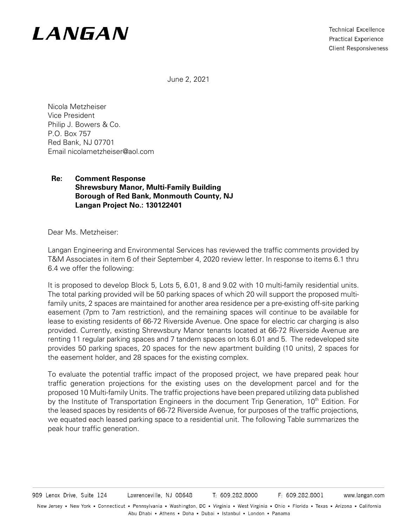# **I ANGAN**

**Technical Excellence Practical Experience Client Responsiveness** 

June 2, 2021

Nicola Metzheiser Vice President Philip J. Bowers & Co. P.O. Box 757 Red Bank, NJ 07701 Email nicolametzheiser@aol.com

#### **Re: Comment Response Shrewsbury Manor, Multi-Family Building Borough of Red Bank, Monmouth County, NJ Langan Project No.: 130122401**

Dear Ms. Metzheiser:

Langan Engineering and Environmental Services has reviewed the traffic comments provided by T&M Associates in item 6 of their September 4, 2020 review letter. In response to items 6.1 thru 6.4 we offer the following:

It is proposed to develop Block 5, Lots 5, 6.01, 8 and 9.02 with 10 multi-family residential units. The total parking provided will be 50 parking spaces of which 20 will support the proposed multifamily units, 2 spaces are maintained for another area residence per a pre-existing off-site parking easement (7pm to 7am restriction), and the remaining spaces will continue to be available for lease to existing residents of 66-72 Riverside Avenue. One space for electric car charging is also provided. Currently, existing Shrewsbury Manor tenants located at 66-72 Riverside Avenue are renting 11 regular parking spaces and 7 tandem spaces on lots 6.01 and 5. The redeveloped site provides 50 parking spaces, 20 spaces for the new apartment building (10 units), 2 spaces for the easement holder, and 28 spaces for the existing complex.

To evaluate the potential traffic impact of the proposed project, we have prepared peak hour traffic generation projections for the existing uses on the development parcel and for the proposed 10 Multi-family Units. The traffic projections have been prepared utilizing data published by the Institute of Transportation Engineers in the document Trip Generation, 10<sup>th</sup> Edition. For the leased spaces by residents of 66-72 Riverside Avenue, for purposes of the traffic projections, we equated each leased parking space to a residential unit. The following Table summarizes the peak hour traffic generation.

F: 609.282.8001 989 Lenox Drive, Suite 124 Lawrenceville, NJ 08648 T: 609.282.8000 www.langan.com New Jersey • New York • Connecticut • Pennsylvania • Washington, DC • Virginia • West Virginia • Ohio • Florida • Texas • Arizona • California Abu Dhabi • Athens • Doha • Dubai • Istanbul • London • Panama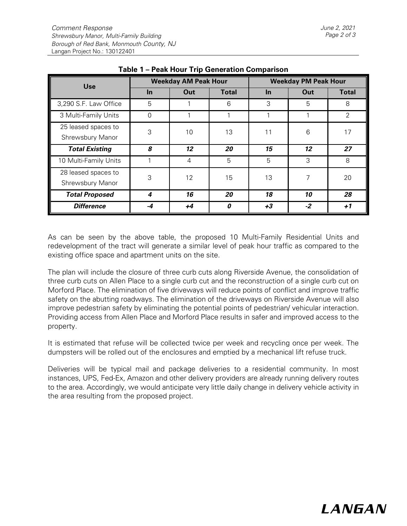| <b>Use</b>                              | <b>Weekday AM Peak Hour</b> |      |                  | <b>Weekday PM Peak Hour</b> |      |              |
|-----------------------------------------|-----------------------------|------|------------------|-----------------------------|------|--------------|
|                                         | $\ln$                       | Out  | <b>Total</b>     | <b>In</b>                   | Out  | <b>Total</b> |
| 3,290 S.F. Law Office                   | 5                           | 1    | 6                | 3                           | 5    | 8            |
| 3 Multi-Family Units                    | $\Omega$                    |      |                  |                             |      | 2            |
| 25 leased spaces to<br>Shrewsbury Manor | 3                           | 10   | 13               | 11                          | 6    | 17           |
| <b>Total Existing</b>                   | 8                           | 12   | 20               | 15                          | 12   | 27           |
| 10 Multi-Family Units                   |                             | 4    | 5                | 5                           | 3    | 8            |
| 28 leased spaces to<br>Shrewsbury Manor | 3                           | 12   | 15               | 13                          | 7    | 20           |
| <b>Total Proposed</b>                   | 4                           | 16   | 20               | 18                          | 10   | 28           |
| <b>Difference</b>                       | -4                          | $+4$ | $\boldsymbol{0}$ | $+3$                        | $-2$ | $+1$         |

#### **Table 1 – Peak Hour Trip Generation Comparison**

As can be seen by the above table, the proposed 10 Multi-Family Residential Units and redevelopment of the tract will generate a similar level of peak hour traffic as compared to the existing office space and apartment units on the site.

The plan will include the closure of three curb cuts along Riverside Avenue, the consolidation of three curb cuts on Allen Place to a single curb cut and the reconstruction of a single curb cut on Morford Place. The elimination of five driveways will reduce points of conflict and improve traffic safety on the abutting roadways. The elimination of the driveways on Riverside Avenue will also improve pedestrian safety by eliminating the potential points of pedestrian/ vehicular interaction. Providing access from Allen Place and Morford Place results in safer and improved access to the property.

It is estimated that refuse will be collected twice per week and recycling once per week. The dumpsters will be rolled out of the enclosures and emptied by a mechanical lift refuse truck.

Deliveries will be typical mail and package deliveries to a residential community. In most instances, UPS, Fed-Ex, Amazon and other delivery providers are already running delivery routes to the area. Accordingly, we would anticipate very little daily change in delivery vehicle activity in the area resulting from the proposed project.

## **I ANGAN**